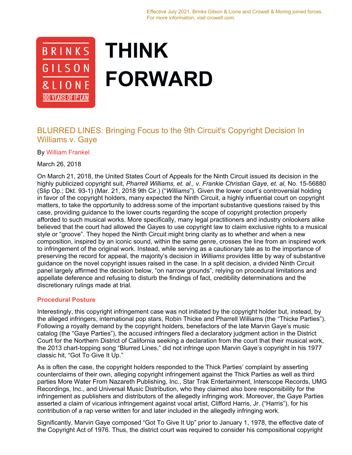

# **THINK FORWARD**

## BLURRED LINES: Bringing Focus to the 9th Circuit's Copyright Decision In Williams v. Gaye

By William Frankel

March 26, 2018

On March 21, 2018, the United States Court of Appeals for the Ninth Circuit issued its decision in the highly publicized copyright suit, *Pharrell Williams, et. al., v. Frankie Christian Gaye, et. al,* No. 15-56880 (Slip Op.; Dkt. 93-1) (Mar. 21, 2018 9th Cir.) ("*Williams*"). Given the lower court's controversial holding in favor of the copyright holders, many expected the Ninth Circuit, a highly influential court on copyright matters, to take the opportunity to address some of the important substantive questions raised by this case, providing guidance to the lower courts regarding the scope of copyright protection properly afforded to such musical works. More specifically, many legal practitioners and industry onlookers alike believed that the court had allowed the Gayes to use copyright law to claim exclusive rights to a musical style or "groove". They hoped the Ninth Circuit might bring clarity as to whether and when a new composition, inspired by an iconic sound, within the same genre, crosses the line from an inspired work to infringement of the original work. Instead, while serving as a cautionary tale as to the importance of preserving the record for appeal, the majority's decision in *Williams* provides little by way of substantive guidance on the novel copyright issues raised in the case. In a split decision, a divided Ninth Circuit panel largely affirmed the decision below, "on narrow grounds", relying on procedural limitations and appellate deference and refusing to disturb the findings of fact, credibility determinations and the discretionary rulings made at trial.

### **Procedural Posture**

Interestingly, this copyright infringement case was not initiated by the copyright holder but, instead, by the alleged infringers, international pop stars, Robin Thicke and Pharrell Williams (the "Thicke Parties"). Following a royalty demand by the copyright holders, benefactors of the late Marvin Gaye's music catalog (the "Gaye Parties"), the accused infringers filed a declaratory judgment action in the District Court for the Northern District of California seeking a declaration from the court that their musical work, the 2013 chart-topping song "Blurred Lines," did not infringe upon Marvin Gaye's copyright in his 1977 classic hit, "Got To Give It Up."

As is often the case, the copyright holders responded to the Thick Parties' complaint by asserting counterclaims of their own, alleging copyright infringement against the Thick Parties as well as third parties More Water From Nazareth Publishing, Inc., Star Trak Entertainment, Interscope Records, UMG Recordings, Inc., and Universal Music Distribution, who they claimed also bore responsibility for the infringement as publishers and distributors of the allegedly infringing work. Moreover, the Gaye Parties asserted a claim of vicarious infringement against vocal artist, Clifford Harris, Jr. ("Harris"), for his contribution of a rap verse written for and later included in the allegedly infringing work.

Significantly, Marvin Gaye composed "Got To Give It Up" prior to January 1, 1978, the effective date of the Copyright Act of 1976. Thus, the district court was required to consider his compositional copyright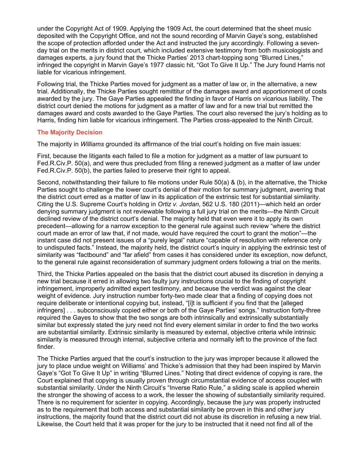under the Copyright Act of 1909. Applying the 1909 Act, the court determined that the sheet music deposited with the Copyright Office, and not the sound recording of Marvin Gaye's song, established the scope of protection afforded under the Act and instructed the jury accordingly. Following a sevenday trial on the merits in district court, which included extensive testimony from both musicologists and damages experts, a jury found that the Thicke Parties' 2013 chart-topping song "Blurred Lines," infringed the copyright in Marvin Gaye's 1977 classic hit, "Got To Give It Up." The Jury found Harris not liable for vicarious infringement.

Following trial, the Thicke Parties moved for judgment as a matter of law or, in the alternative, a new trial. Additionally, the Thicke Parties sought remittitur of the damages award and apportionment of costs awarded by the jury. The Gaye Parties appealed the finding in favor of Harris on vicarious liability. The district court denied the motions for judgment as a matter of law and for a new trial but remitted the damages award and costs awarded to the Gaye Parties. The court also reversed the jury's holding as to Harris, finding him liable for vicarious infringement. The Parties cross-appealed to the Ninth Circuit.

### **The Majority Decision**

The majority in *Williams* grounded its affirmance of the trial court's holding on five main issues:

First, because the litigants each failed to file a motion for judgment as a matter of law pursuant to Fed.R.Civ.P. 50(a), and were thus precluded from filing a renewed judgment as a matter of law under Fed.R.Civ.P. 50(b), the parties failed to preserve their right to appeal.

Second, notwithstanding their failure to file motions under Rule 50(a) & (b), in the alternative, the Thicke Parties sought to challenge the lower court's denial of their motion for summary judgment, averring that the district court erred as a matter of law in its application of the extrinsic test for substantial similarity. Citing the U.S. Supreme Court's holding in *Ortiz v. Jordan*, 562 U.S. 180 (2011)—which held an order denying summary judgment is not reviewable following a full jury trial on the merits—the Ninth Circuit declined review of the district court's denial. The majority held that even were it to apply its own precedent—allowing for a narrow exception to the general rule against such review "where the district court made an error of law that, if not made, would have required the court to grant the motion"—the instant case did not present issues of a "purely legal" nature "capable of resolution with reference only to undisputed facts." Instead, the majority held, the district court's inquiry in applying the extrinsic test of similarity was "factbound" and "far afield" from cases it has considered under its exception, now defunct, to the general rule against reconsideration of summary judgment orders following a trial on the merits.

Third, the Thicke Parties appealed on the basis that the district court abused its discretion in denying a new trial because it erred in allowing two faulty jury instructions crucial to the finding of copyright infringement, improperly admitted expert testimony, and because the verdict was against the clear weight of evidence. Jury instruction number forty-two made clear that a finding of copying does not require deliberate or intentional copying but, instead, "[i]t is sufficient if you find that the [alleged infringers] . . . subconsciously copied either or both of the Gaye Parties' songs." Instruction forty-three required the Gayes to show that the two songs are both intrinsically and extrinsically substantially similar but expressly stated the jury need not find every element similar in order to find the two works are substantial similarity. Extrinsic similarity is measured by external, objective criteria while intrinsic similarity is measured through internal, subjective criteria and normally left to the province of the fact finder.

The Thicke Parties argued that the court's instruction to the jury was improper because it allowed the jury to place undue weight on Williams' and Thicke's admission that they had been inspired by Marvin Gaye's "Got To Give It Up" in writing "Blurred Lines." Noting that direct evidence of copying is rare, the Court explained that copying is usually proven through circumstantial evidence of access coupled with substantial similarity. Under the Ninth Circuit's "Inverse Ratio Rule," a sliding scale is applied wherein the stronger the showing of access to a work, the lesser the showing of substantially similarity required. There is no requirement for scienter in copying. Accordingly, because the jury was properly instructed as to the requirement that both access and substantial similarity be proven in this and other jury instructions, the majority found that the district court did not abuse its discretion in refusing a new trial. Likewise, the Court held that it was proper for the jury to be instructed that it need not find all of the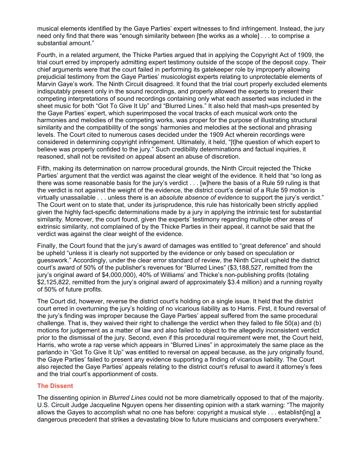musical elements identified by the Gaye Parties' expert witnesses to find infringement. Instead, the jury need only find that there was "enough similarity between [the works as a whole] . . . to comprise a substantial amount."

Fourth, in a related argument, the Thicke Parties argued that in applying the Copyright Act of 1909, the trial court erred by improperly admitting expert testimony outside of the scope of the deposit copy. Their chief arguments were that the court failed in performing its gatekeeper role by improperly allowing prejudicial testimony from the Gaye Parties' musicologist experts relating to unprotectable elements of Marvin Gaye's work. The Ninth Circuit disagreed. It found that the trial court properly excluded elements indisputably present only in the sound recordings, and properly allowed the experts to present their competing interpretations of sound recordings containing only what each asserted was included in the sheet music for both "Got To Give It Up" and "Blurred Lines." It also held that mash-ups presented by the Gaye Parties' expert, which superimposed the vocal tracks of each musical work onto the harmonies and melodies of the competing works, was proper for the purpose of illustrating structural similarity and the compatibility of the songs' harmonies and melodies at the sectional and phrasing levels. The Court cited to numerous cases decided under the 1909 Act wherein recordings were considered in determining copyright infringement. Ultimately, it held, "[t]he question of which expert to believe was properly confided to the jury." Such credibility determinations and factual inquiries, it reasoned, shall not be revisited on appeal absent an abuse of discretion.

Fifth, making its determination on narrow procedural grounds, the Ninth Circuit rejected the Thicke Parties' argument that the verdict was against the clear weight of the evidence. It held that "so long as there was some reasonable basis for the jury's verdict . . . [w]here the basis of a Rule 59 ruling is that the verdict is not against the weight of the evidence, the district court's denial of a Rule 59 motion is virtually unassailable . . . unless there is an *absolute absence of evidence* to support the jury's verdict." The Court went on to state that, under its jurisprudence, this rule has historically been strictly applied given the highly fact-specific determinations made by a jury in applying the intrinsic test for substantial similarity. Moreover, the court found, given the experts' testimony regarding multiple other areas of extrinsic similarity, not complained of by the Thicke Parties in their appeal, it cannot be said that the verdict was against the clear weight of the evidence.

Finally, the Court found that the jury's award of damages was entitled to "great deference" and should be upheld "unless it is clearly not supported by the evidence or only based on speculation or guesswork." Accordingly, under the clear error standard of review, the Ninth Circuit upheld the district court's award of 50% of the publisher's revenues for "Blurred Lines" (\$3,188,527, remitted from the jury's original award of \$4,000,000), 40% of Williams' and Thicke's non-publishing profits (totaling \$2,125,822, remitted from the jury's original award of approximately \$3.4 million) and a running royalty of 50% of future profits.

The Court did, however, reverse the district court's holding on a single issue. It held that the district court erred in overturning the jury's holding of no vicarious liability as to Harris. First, it found reversal of the jury's finding was improper because the Gaye Parties' appeal suffered from the same procedural challenge. That is, they waived their right to challenge the verdict when they failed to file 50(a) and (b) motions for judgement as a matter of law and also failed to object to the allegedly inconsistent verdict prior to the dismissal of the jury. Second, even if this procedural requirement were met, the Court held, Harris, who wrote a rap verse which appears in "Blurred Lines" in approximately the same place as the parlando in "Got To Give It Up" was entitled to reversal on appeal because, as the jury originally found, the Gaye Parties' failed to present any evidence supporting a finding of vicarious liability. The Court also rejected the Gaye Parties' appeals relating to the district court's refusal to award it attorney's fees and the trial court's apportionment of costs.

### **The Dissent**

The dissenting opinion in *Blurred Lines* could not be more diametrically opposed to that of the majority. U.S. Circuit Judge Jacqueline Nguyen opens her dissenting opinion with a stark warning: "The majority allows the Gayes to accomplish what no one has before: copyright a musical style . . . establish[ing] a dangerous precedent that strikes a devastating blow to future musicians and composers everywhere."